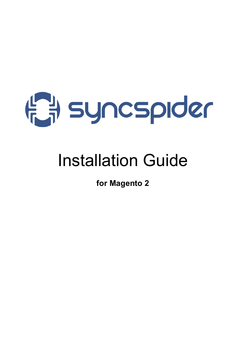

# Installation Guide

**for Magento 2**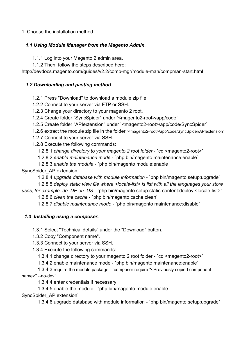1. Choose the installation method.

#### *1.1 Using Module Manager from the Magento Admin.*

1.1.1 Log into your Magento 2 admin area.

1.1.2 Then, follow the steps described here:

http://devdocs.magento.com/guides/v2.2/comp-mgr/module-man/compman-start.html

### *1.2 Downloading and pasting method.*

1.2.1 Press "Download" to download a module zip file.

1.2.2 Connect to your server via FTP or SSH.

1.2.3 Change your directory to your magento 2 root.

- 1.2.4 Create folder "SyncSpider" under `<magento2-root>/app/code`
- 1.2.5 Create folder "APIextension" under `<magento2-root>/app/code/SyncSpider`
- 1.2.6 extract the module zip file in the folder `<magento2-root>/app/code/SyncSpider/APIextension`
- 1.2.7 Connect to your server via SSH.
- 1.2.8 Execute the following commands:

1.2.8.1 *change directory to your magento 2 root folder* - `cd <magento2-root>`

1.2.8.2 *enable maintenance mode* - `php bin/magento maintenance:enable`

1.2.8.3 *enable the module* - `php bin/magento module:enable

### SyncSpider\_APIextension`

1.2.8.4 *upgrade database with module information* - `php bin/magento setup:upgrade`

1.2.8.5 *deploy static view file where <locale-list> is list with all the languages your store*

*uses, for example, de DE en US* - `php bin/magento setup: static-content: deploy <locale-list>`

1.2.8.6 *clean the cache* - `php bin/magento cache:clean`

1.2.8.7 *disable maintenance mode* - `php bin/magento maintenance:disable`

## *1.3 Installing using a composer.*

1.3.1 Select "Technical details" under the "Download" button.

1.3.2 Copy "Component name".

1.3.3 Connect to your server via SSH.

1.3.4 Execute the following commands:

1.3.4.1 change directory to your magento 2 root folder - `cd <magento2-root>`

1.3.4.2 enable maintenance mode - `php bin/magento maintenance:enable`

 1.3.4.3 require the module package - `composer require "<Previously copied component name>" --no-dev`

1.3.4.4 enter credentials if necessary

1.3.4.5 enable the module - `php bin/magento module:enable

SyncSpider\_APIextension`

1.3.4.6 upgrade database with module information - `php bin/magento setup:upgrade`